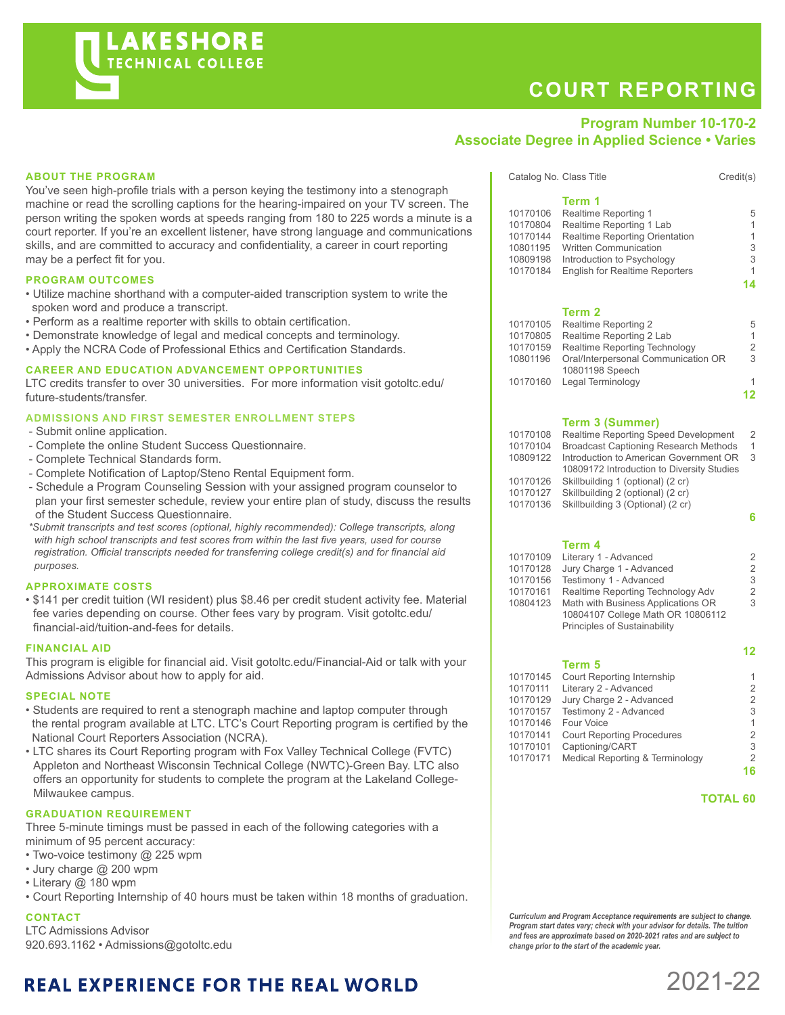# **COURT REPORTING**

Catalog No. Class Title Credit(s)

### **Program Number 10-170-2 Associate Degree in Applied Science • Varies**

**Term 1**

#### **ABOUT THE PROGRAM**

You've seen high-profile trials with a person keying the testimony into a stenograph machine or read the scrolling captions for the hearing-impaired on your TV screen. The person writing the spoken words at speeds ranging from 180 to 225 words a minute is a court reporter. If you're an excellent listener, have strong language and communications skills, and are committed to accuracy and confidentiality, a career in court reporting may be a perfect fit for you.

#### **PROGRAM OUTCOMES**

- Utilize machine shorthand with a computer-aided transcription system to write the spoken word and produce a transcript.
- Perform as a realtime reporter with skills to obtain certification.
- Demonstrate knowledge of legal and medical concepts and terminology.
- Apply the NCRA Code of Professional Ethics and Certification Standards.

#### **CAREER AND EDUCATION ADVANCEMENT OPPORTUNITIES**

LTC credits transfer to over 30 universities. For more information visit gotoltc.edu/ future-students/transfer.

#### **ADMISSIONS AND FIRST SEMESTER ENROLLMENT STEPS**

- Submit online application.
- Complete the online Student Success Questionnaire.
- Complete Technical Standards form.
- Complete Notification of Laptop/Steno Rental Equipment form.
- Schedule a Program Counseling Session with your assigned program counselor to plan your first semester schedule, review your entire plan of study, discuss the results of the Student Success Questionnaire.
- *\*Submit transcripts and test scores (optional, highly recommended): College transcripts, along with high school transcripts and test scores from within the last five years, used for course registration. Official transcripts needed for transferring college credit(s) and for financial aid purposes.*

#### **APPROXIMATE COSTS**

• \$141 per credit tuition (WI resident) plus \$8.46 per credit student activity fee. Material fee varies depending on course. Other fees vary by program. Visit gotoltc.edu/ financial-aid/tuition-and-fees for details.

#### **FINANCIAL AID**

This program is eligible for financial aid. Visit gotoltc.edu/Financial-Aid or talk with your Admissions Advisor about how to apply for aid.

#### **SPECIAL NOTE**

- Students are required to rent a stenograph machine and laptop computer through the rental program available at LTC. LTC's Court Reporting program is certified by the National Court Reporters Association (NCRA).
- LTC shares its Court Reporting program with Fox Valley Technical College (FVTC) Appleton and Northeast Wisconsin Technical College (NWTC)-Green Bay. LTC also offers an opportunity for students to complete the program at the Lakeland College-Milwaukee campus.

#### **GRADUATION REQUIREMENT**

Three 5-minute timings must be passed in each of the following categories with a minimum of 95 percent accuracy:

- Two-voice testimony @ 225 wpm
- Jury charge @ 200 wpm
- Literary @ 180 wpm
- Court Reporting Internship of 40 hours must be taken within 18 months of graduation.

#### **CONTACT**

LTC Admissions Advisor 920.693.1162 • Admissions@gotoltc.edu

|          | <b>Term 3 (Summer)</b>                           |              |
|----------|--------------------------------------------------|--------------|
|          |                                                  | 12           |
| 10170160 | Legal Terminology                                | 1            |
|          | 10801198 Speech                                  |              |
| 10801196 | Oral/Interpersonal Communication OR              | 3            |
| 10170159 | Realtime Reporting Technology                    | 2            |
| 10170805 | Realtime Reporting 2 Lab                         | $\mathbf{1}$ |
| 10170105 | Term <sub>2</sub><br><b>Realtime Reporting 2</b> | 5            |
|          |                                                  |              |
|          |                                                  | 14           |
| 10170184 | <b>English for Realtime Reporters</b>            | 1            |
| 10809198 | Introduction to Psychology                       | 3            |
| 10801195 | <b>Written Communication</b>                     | 3            |
| 10170144 | <b>Realtime Reporting Orientation</b>            | 1            |
| 10170804 | Realtime Reporting 1 Lab                         | 1            |
| 10170106 | Realtime Reporting 1                             | 5            |
|          |                                                  |              |

|          | 19111191919111111917                         |               |
|----------|----------------------------------------------|---------------|
| 10170108 | Realtime Reporting Speed Development         | $\mathcal{P}$ |
| 10170104 | <b>Broadcast Captioning Research Methods</b> | 1             |
| 10809122 | Introduction to American Government OR       | 3             |
|          | 10809172 Introduction to Diversity Studies   |               |
| 10170126 | Skillbuilding 1 (optional) (2 cr)            |               |
| 10170127 | Skillbuilding 2 (optional) (2 cr)            |               |
| 10170136 | Skillbuilding 3 (Optional) (2 cr)            |               |
|          |                                              |               |

**6**

#### **Term 4**

| 10170109 | Literary 1 - Advanced              | 2 |
|----------|------------------------------------|---|
| 10170128 | Jury Charge 1 - Advanced           | 2 |
| 10170156 | Testimony 1 - Advanced             | 3 |
| 10170161 | Realtime Reporting Technology Adv  | 2 |
| 10804123 | Math with Business Applications OR | 3 |
|          | 10804107 College Math OR 10806112  |   |
|          | Principles of Sustainability       |   |
|          |                                    |   |

#### **12 Term 5**

| 10170145 | <b>Court Reporting Internship</b> | 1.             |
|----------|-----------------------------------|----------------|
| 10170111 | Literary 2 - Advanced             | 2              |
| 10170129 | Jury Charge 2 - Advanced          | $\mathfrak{D}$ |
| 10170157 | Testimony 2 - Advanced            | 3              |
| 10170146 | Four Voice                        | 1              |
| 10170141 | <b>Court Reporting Procedures</b> | $\overline{2}$ |
| 10170101 | Captioning/CART                   | 3              |
| 10170171 | Medical Reporting & Terminology   | 2              |
|          |                                   | 16             |
|          |                                   |                |

#### **TOTAL 60**

#### *Curriculum and Program Acceptance requirements are subject to change. Program start dates vary; check with your advisor for details. The tuition and fees are approximate based on 2020-2021 rates and are subject to change prior to the start of the academic year.*

## **REAL EXPERIENCE FOR THE REAL WORLD**